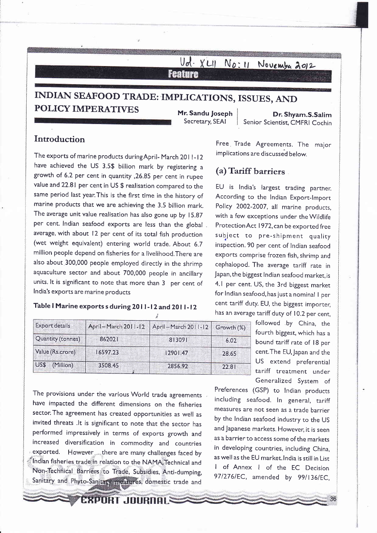Vol. XLII No: 11 November 2012 **Feature** 

## **INDIAN SEAFOOD TRADE: IMPLICATIONS, ISSUES, AND POLICY IMPERATIVES** Mr. Sandu Joseph Dr. Shyam.S.Salim

Secretary, SEA1

Senior Scientist, CMFRI Cochin

## / **Introduction**

The exports of marine products during April- March 2011-12 have achieved the US 3.5\$ billion mark by registering a growth of 6.2 per cent in quantity ,26.85 per cent in rupee value and 22.8 1 per cent in US \$ realisation compared to the same period last year.This is the first time in the history of marine products that we are achieving the 3.5 billion mark. The average unit value realisation has also gone up by 15.87 per cent. Indian seafood exports are less than the global. average, with about 12 per cent of its total fish production (wet weight equivalent) entering world trade. About 6.7 million people depend on fisheries for a livelihood.There are also about.300,000 people employed directly in the shrimp aquaculture sector and about 700,000 people in ancillary units. It is significant to note that more than 3 per cent of India's exports are marine products

## I **Table I Marine exports s during 20 I I** - **12 and 20 1 I** - **<sup>12</sup> i**

| <b>Export details</b> | April - March 2011-12 | April - March 2011-12 Growth (%) |       |
|-----------------------|-----------------------|----------------------------------|-------|
| Quantity (tonnes)     | 862021                | 813091                           | 6.02  |
| Value (Rs.crore)      | 16597.23              | 12901.47                         | 28.65 |
| US\$ (Million)        | 3508.45               | 2856.92                          | 22.81 |

Preferences (GSP) to lndian products The provisions under the various World trade agreements . including seafood. In general, tariff have impacted the different dimensions on the fisheries sector. The agreement has created opportunities as well as by the lndian seafood industry to the US invited threats .It is significant to note that the sector has and Japanese markets. However, it is seen performed impressively in terms of exports growth and increased diversification in commodity and countries in developing countries, including China, in the section of the section of the section of the section of the section of the section of the section of the section of the Indian fisheries trade in relation to the NAMA. Technical and Non-Technical Barriers to Trade, Subsidies, Anti-dumping, Sanitary and Phyto-Sanjtary measures, domestic trade and

**EXPORT JOURNALS** 

Free, Trade Agreements. The major implications are discussed below.

## **(a) Tariff barriers** .

EU is India's largest trading partner. According to the lndian Export-Import Policy 2002-2007, all marine products, with a few exceptions under the Wildlife Protection Act 1972, can be exported free subject to pre-shipment quality inspection. 90 per cent of lndian seafood exports comprise frozen fish, shrimp and cephalopod. The average tariff rate in Japan,the biggest lndian seafood market,is 4.1 per cent. US, the 3rd biggest market for lndian seafood, has just a nominal I per cent tariff duty. EU, the biggest importer, has an average tariff duty of 10.2 per cent,

> followed .by China, the fourth biggest, which has a bound tariff rate of 18 per cent.The EU, Japan and the US extend preferential tariff treatment under Generalized System of

as a barrier to access some of the markets as well as the EU market.lndia is still in List I of Annex I of the EC Decision 97/276/EC, amended by 99/136/EC,